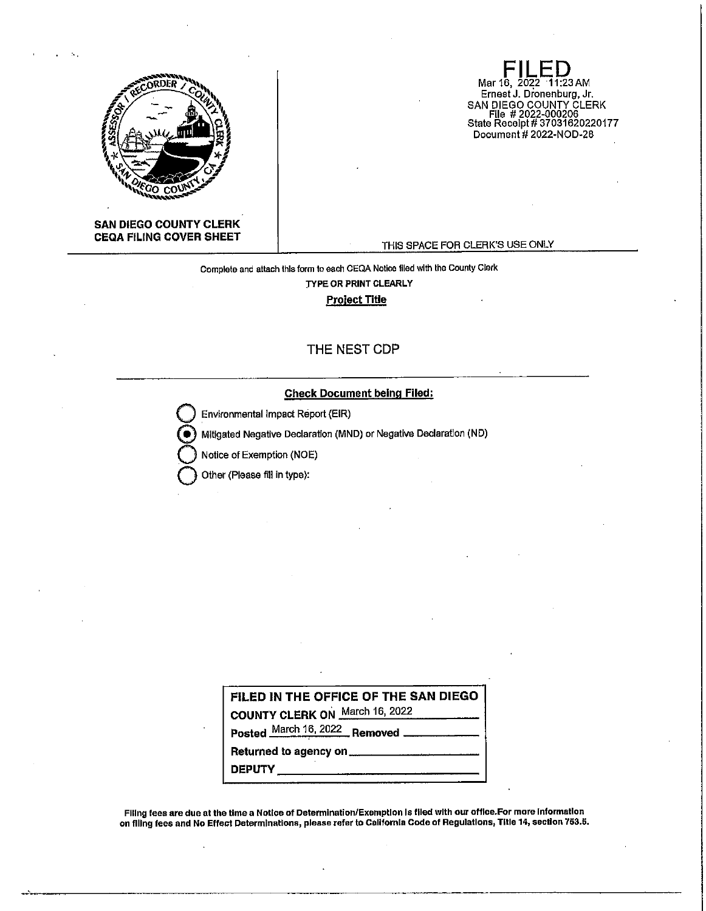

**SAN DIEGO COUNTY CLERK CEQA FILING COVER SHEET** 

THIS SPACE FOR CLERK'S USE ONLY

Complete and attach this form to each CEQA Notice filed with the County Clerk **JYPE OR PRINT CLEARLY Project Tille** 

## THE NEST CDP

## **Check Document being Filed:**

**Environmental Impact Report (EIR)** 

@ Mitigated Negative Declaration (MND) or Negative Declaration (ND)

**Q** Notice of Exemption (NOE)

**Q** Other (Please fill in type):

**DEPUTY** 

| FILED IN THE OFFICE OF THE SAN DIEGO            |
|-------------------------------------------------|
| COUNTY CLERK ON March 16, 2022                  |
| Posted March 16, 2022 Removed                   |
| Returned to agency on _________________________ |

Flllng fees are due at the time a Notice of Determination/Exemption Is tlled with our office.For more Information on flllng fees and No Effect Determinations, please refer to Cellfornla Code of Regulatlons, Title 14, section 753.6.

-~-----------------------------------------------------

**FILED**<br>Mar 16, 2022 11:23 AM Ernest J. Dionenburg, Jr. SAN DIEGO COUNTY CLERK File # 2022-000206 State Receipt# 37031620220177 Document# 2022-NOD-28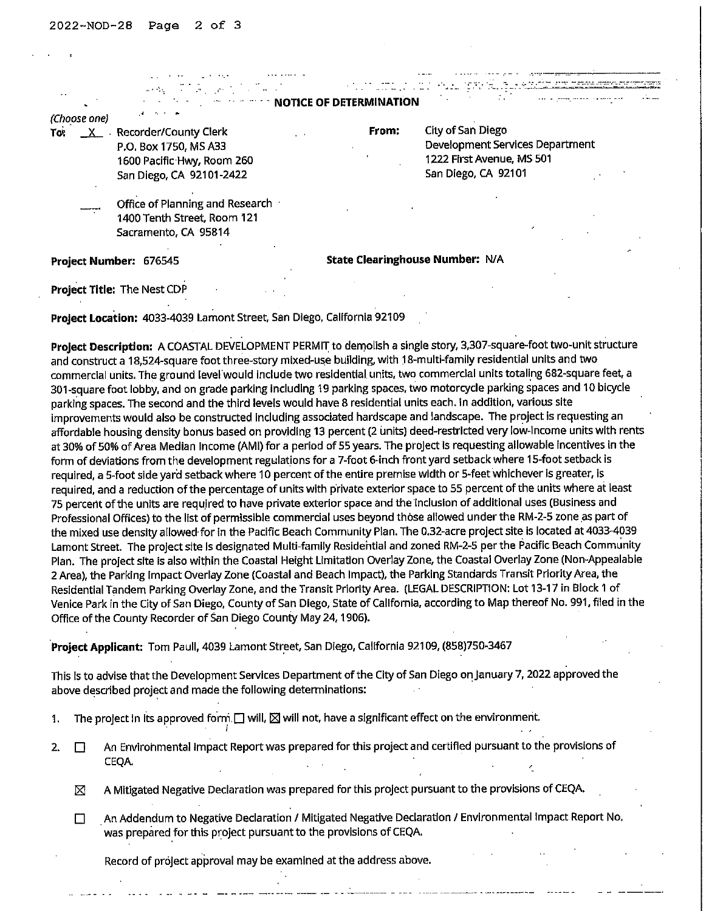|                        | $\label{eq:2.1} \mu_1(\Delta_{\Sigma_1}) = \overline{\mu} \wedge \overline{\Delta}_{\Sigma_1} \wedge \overline{\rho} \wedge \dots \wedge \overline{\rho} \wedge \overline{\rho} \wedge \overline{\rho}$ |                                         |                                                                                                          |  |
|------------------------|---------------------------------------------------------------------------------------------------------------------------------------------------------------------------------------------------------|-----------------------------------------|----------------------------------------------------------------------------------------------------------|--|
|                        |                                                                                                                                                                                                         | <b>EXECUTE: NOTICE OF DETERMINATION</b> |                                                                                                          |  |
| (Choose one)           |                                                                                                                                                                                                         |                                         |                                                                                                          |  |
| $\mathbf{X}$<br>To.    | Recorder/County Clerk<br>P.O. Box 1750, MS A33<br>1600 Pacific Hwy, Room 260<br>San Diego, CA 92101-2422                                                                                                | From:                                   | City of San Diego<br>Development Services Department<br>1222 First Avenue, MS 501<br>San Diego, CA 92101 |  |
|                        | Office of Planning and Research<br>1400 Tenth Street, Room 121<br>Sacramento, CA 95814                                                                                                                  |                                         |                                                                                                          |  |
| Project Number: 676545 |                                                                                                                                                                                                         |                                         | <b>State Clearinghouse Number: N/A</b>                                                                   |  |
|                        | <b>Project Title: The Nest CDP</b>                                                                                                                                                                      |                                         |                                                                                                          |  |

**Project Location:** 4033-4039 Lamont Street, San Diego, California 92109

**Project Description:** A COASTAL DEVELOPMENT PERMIT to demolish a single story, 3,307-square-foot two-unit structure and construct a 18,524-square foot three-story mixed-use building, with 18-multl-family residential units and two commercial units. The ground levef'would include two residential units, two commercial units totaling 682-square feet, a 301-square foot lobby, and on grade parking including 19 parking spaces, two motorcycle parking spaces and 10 bicycle parking spaces. The second and the third levels would have 8 residential units each. In addition, various site improvements would also be constructed Including associated hardscape and landscape. The project is requesting an affordable housing density bonus based on providing 13 percent (2 units) deed-restricted very low-Income units with rents at 30% of 50% of Area Median Income (AMI) for a period of 55 years. The project Is requesting allowable Incentives in the form of deviations from the development regulations for a 7-foot 6-inch front yard setback where 15-foot setback is required, a 5-foot side yard setback where 10 percent of the entire premise width or 5-feet whichever is greater, is required, and a reduction of the percentage of units with p'rivate exterior space to 55 percent of the units where at least 75 percent of the units are required to have private exterior space and the inclusion of additional uses (Business and Professional Offices) to the list of permissible commercial uses beyond those allowed under the RM-2-5 zone as part of the mixed use density allowed-for In the Pacific Beach Community Plan. The 0.32-acre project site Is located at 4033-4039 Lamont street. The project site Is designated Multi-family Residential and zoned RM-2-S per the Pacific Beach Community Plan. The project site is also within the Coastal Height Limitation Overlay Zone, the Coastal Overlay Zone (Non-Appealable 2 Area), the Parking Impact Overlay Zone (Coastal and Beach Impact), the Parking Standards Transit Priority Area, the Residential Tandem Parking Overlay Zone, and the Transit Priority Area. (LEGAL DESCRIPTION: Lot 13-17 in Block 1 of Venice Park in the City of San Diego, County of San Diego, State of California, according to Map thereof No. 991, filed in the Office of the County Recorder of San Diego County May 24, 1906).

**Project Applicant:** Tom Paull, 4039 Lamont Str\_eet, San Diego, California 92109, (858)750-3467

This Is to advise that the Development Services Department of the City of San Diego on January 7, 2022 approved the above described project and made the following determinations:

- 1. The project in Its approved form. $\Box$  will,  $\boxtimes$  will not, have a significant effect on the environment.
- 2.  $\square$  An Environmental Impact Report was prepared for this project and certified pursuant to the provisions of CEQA.
	- $\nabla$  A Mitigated Negative Declaration was prepared for this project pursuant to the provisions of CEQA.
	- □ An Addendum to Negative Declaration / Mitigated Negative Declaration / Environmental Impact Report No. was prepared for this project pursuant to the provisions of CEQA.

Record of project approval may be examined at the address above.

I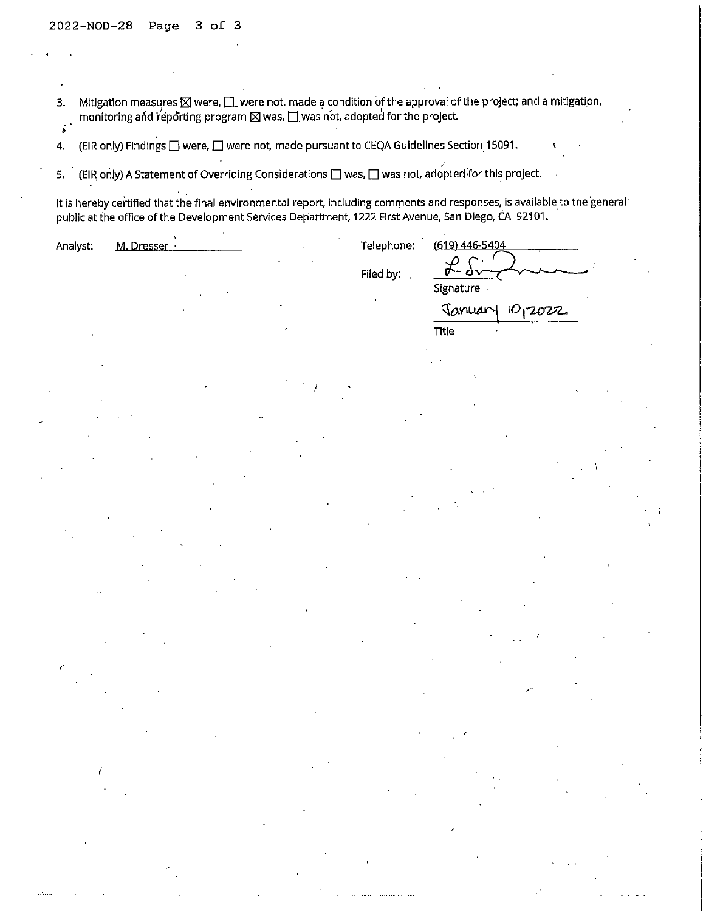3. Mitigation measures  $\boxtimes$  were,  $\Box$  were not, made a condition of the approval of the project; and a mitigation, monitoring and reporting program  $\boxtimes$  was,  $\Box$  was not, adopted for the project. į.

4. (EIR only) Findings  $\square$  were,  $\square$  were not, made pursuant to CEQA Guidelines Section 15091.

.<br>5. (EIR only) A Statement of Overriding Considerations 囗 was, 囗 was not, adopted for this project.

It is hereby certified that the final environmental report, including comments and responses, is available to the general public at the office of the Development Services Department, 1222 First Avenue, San Diego, CA 92101.

| Analyst: | <u>M. Dresser )</u> |  | Telephone:  | (619) 446-5404 |                 |  |
|----------|---------------------|--|-------------|----------------|-----------------|--|
|          |                     |  |             | 25             |                 |  |
|          |                     |  | Filed by: . | Signature      |                 |  |
|          |                     |  |             |                |                 |  |
|          |                     |  |             |                | January 1012022 |  |
|          |                     |  |             | Title          |                 |  |
|          |                     |  |             |                |                 |  |
|          |                     |  |             |                |                 |  |
|          |                     |  |             |                |                 |  |
|          |                     |  |             |                |                 |  |
|          |                     |  |             |                |                 |  |
|          |                     |  |             |                |                 |  |
|          |                     |  |             |                |                 |  |
|          |                     |  |             |                |                 |  |
|          |                     |  |             |                |                 |  |
|          |                     |  |             |                |                 |  |
|          |                     |  |             |                |                 |  |
|          |                     |  |             |                |                 |  |
|          |                     |  |             |                |                 |  |
|          |                     |  |             |                |                 |  |
|          |                     |  |             |                |                 |  |
|          |                     |  |             |                |                 |  |
|          |                     |  |             |                |                 |  |
|          |                     |  |             |                |                 |  |
|          |                     |  |             |                |                 |  |
|          |                     |  |             |                |                 |  |
|          |                     |  |             |                |                 |  |
|          |                     |  |             |                |                 |  |
|          |                     |  |             |                |                 |  |
|          |                     |  |             |                |                 |  |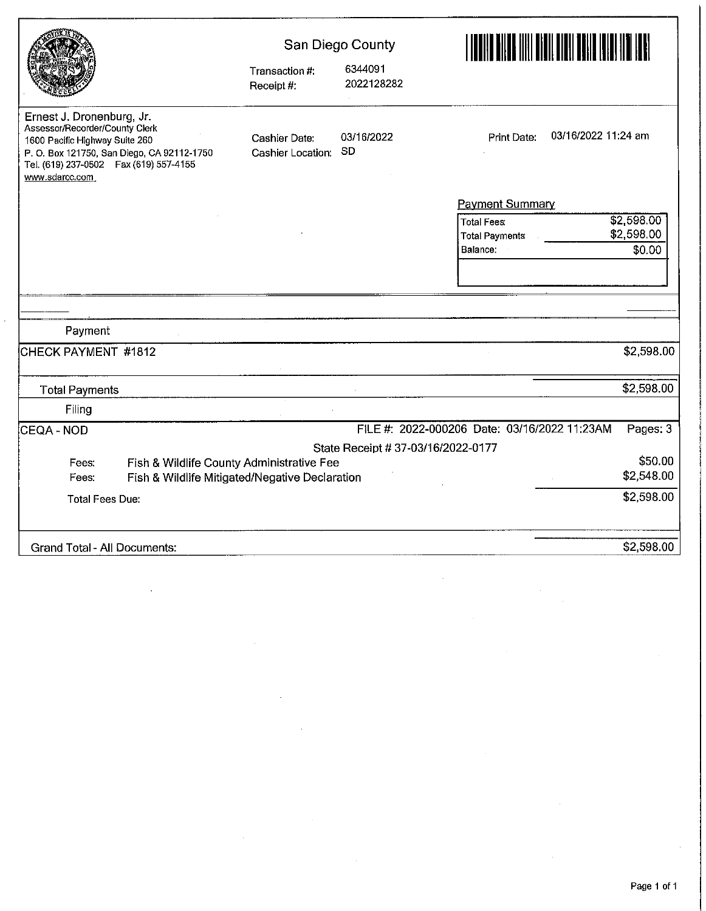|                                                                                                                                                                                                            | Transaction #:<br>Receipt #:       | San Diego County<br>6344091<br>2022128282 |                                                                                        |
|------------------------------------------------------------------------------------------------------------------------------------------------------------------------------------------------------------|------------------------------------|-------------------------------------------|----------------------------------------------------------------------------------------|
| Ernest J. Dronenburg, Jr.<br>Assessor/Recorder/County Clerk<br>1600 Pacific Highway Suite 260<br>P. O. Box 121750, San Diego, CA 92112-1750<br>Tel. (619) 237-0502    Fax (619) 557-4155<br>www.sdarcc.com | Cashier Date:<br>Cashier Location: | 03/16/2022<br>SD                          | 03/16/2022 11:24 am<br>Print Date:                                                     |
|                                                                                                                                                                                                            |                                    |                                           | <b>Payment Summary</b>                                                                 |
|                                                                                                                                                                                                            |                                    |                                           | \$2,598.00<br><b>Total Fees:</b><br>\$2,598.00<br>Total Payments<br>Balance:<br>\$0.00 |
|                                                                                                                                                                                                            |                                    |                                           |                                                                                        |
|                                                                                                                                                                                                            |                                    |                                           |                                                                                        |
|                                                                                                                                                                                                            |                                    |                                           |                                                                                        |
| Payment                                                                                                                                                                                                    |                                    |                                           |                                                                                        |
| CHECK PAYMENT #1812                                                                                                                                                                                        |                                    |                                           | \$2,598.00                                                                             |
| <b>Total Payments</b>                                                                                                                                                                                      |                                    |                                           | \$2,598.00                                                                             |
| Filing                                                                                                                                                                                                     |                                    |                                           |                                                                                        |
| İCEQA - NOD                                                                                                                                                                                                |                                    |                                           | FILE #: 2022-000206 Date: 03/16/2022 11:23AM<br>Pages: 3                               |
|                                                                                                                                                                                                            |                                    | State Receipt # 37-03/16/2022-0177        |                                                                                        |
| Fish & Wildlife County Administrative Fee<br>Fees:                                                                                                                                                         |                                    |                                           | \$50.00                                                                                |
| Fish & Wildlife Mitigated/Negative Declaration<br>Fees:                                                                                                                                                    |                                    |                                           | \$2,548.00                                                                             |
| <b>Total Fees Due:</b>                                                                                                                                                                                     |                                    |                                           | \$2,598.00                                                                             |
| Grand Total - All Documents:                                                                                                                                                                               |                                    |                                           | \$2,598.00                                                                             |

 $\ddot{\phantom{0}}$ 

÷,